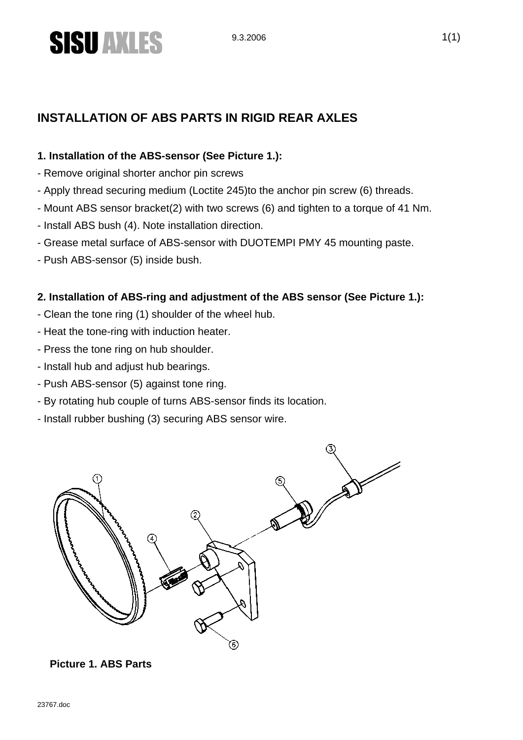

### **INSTALLATION OF ABS PARTS IN RIGID REAR AXLES**

#### **1. Installation of the ABS-sensor (See Picture 1.):**

- Remove original shorter anchor pin screws
- Apply thread securing medium (Loctite 245)to the anchor pin screw (6) threads.
- Mount ABS sensor bracket(2) with two screws (6) and tighten to a torque of 41 Nm.
- Install ABS bush (4). Note installation direction.
- Grease metal surface of ABS-sensor with DUOTEMPI PMY 45 mounting paste.
- Push ABS-sensor (5) inside bush.

#### **2. Installation of ABS-ring and adjustment of the ABS sensor (See Picture 1.):**

- Clean the tone ring (1) shoulder of the wheel hub.
- Heat the tone-ring with induction heater.
- Press the tone ring on hub shoulder.
- Install hub and adjust hub bearings.
- Push ABS-sensor (5) against tone ring.
- By rotating hub couple of turns ABS-sensor finds its location.
- Install rubber bushing (3) securing ABS sensor wire.



#### **Picture 1. ABS Parts**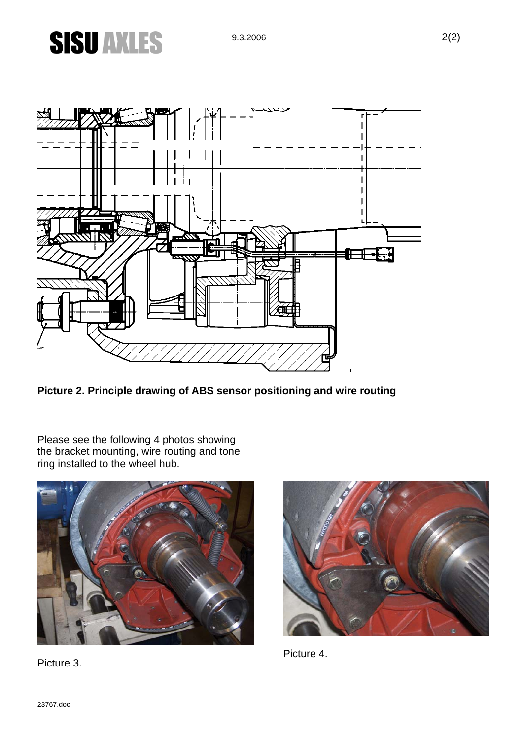## **SISU AXLES**



**Picture 2. Principle drawing of ABS sensor positioning and wire routing** 

Please see the following 4 photos showing the bracket mounting, wire routing and tone ring installed to the wheel hub.



Picture 3.



Picture 4.